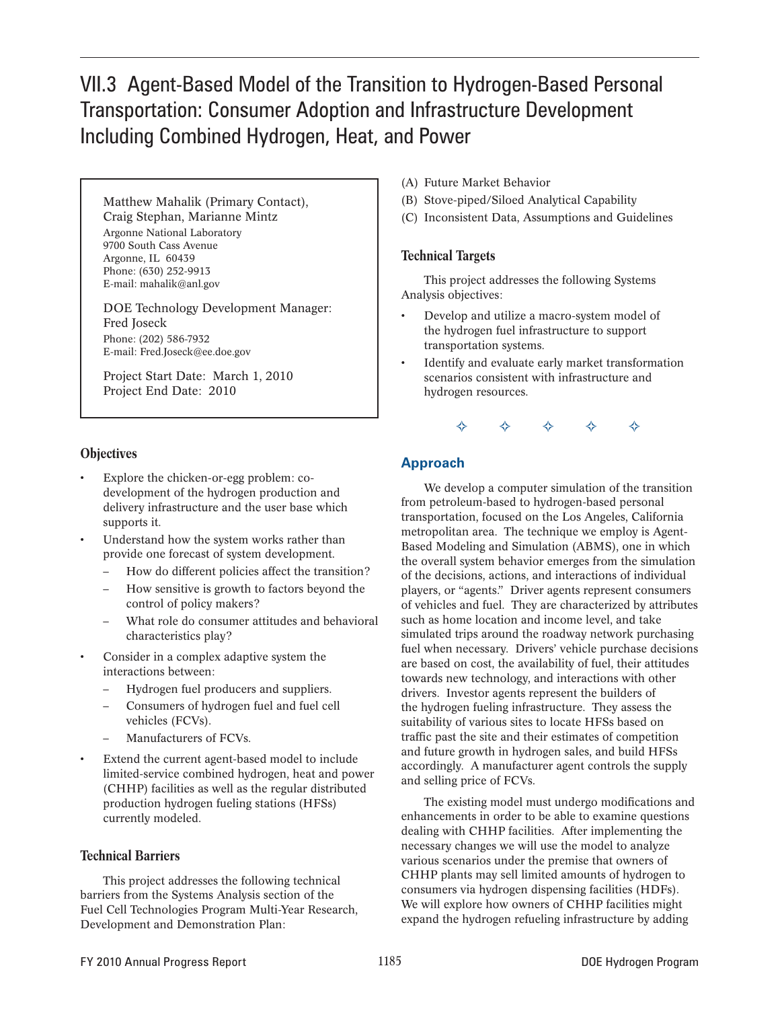# VII.3 Agent-Based Model of the Transition to Hydrogen-Based Personal Transportation: Consumer Adoption and Infrastructure Development Including Combined Hydrogen, Heat, and Power

Matthew Mahalik (Primary Contact), Craig Stephan, Marianne Mintz Argonne National Laboratory 9700 South Cass Avenue Argonne, IL 60439 Phone: (630) 252-9913 E-mail: mahalik@anl.gov

DOE Technology Development Manager: Fred Joseck Phone: (202) 586-7932 E-mail: Fred.Joseck@ee.doe.gov

Project Start Date: March 1, 2010 Project End Date: 2010

### **Objectives**

- Explore the chicken-or-egg problem: codevelopment of the hydrogen production and delivery infrastructure and the user base which supports it.
- Understand how the system works rather than provide one forecast of system development.
	- How do different policies affect the transition?
	- How sensitive is growth to factors beyond the control of policy makers?
	- What role do consumer attitudes and behavioral characteristics play?
- Consider in a complex adaptive system the interactions between:
	- Hydrogen fuel producers and suppliers.
	- Consumers of hydrogen fuel and fuel cell vehicles (FCVs).
	- Manufacturers of FCVs.
- Extend the current agent-based model to include limited-service combined hydrogen, heat and power (CHHP) facilities as well as the regular distributed production hydrogen fueling stations (HFSs) currently modeled.

#### Technical Barriers

This project addresses the following technical barriers from the Systems Analysis section of the Fuel Cell Technologies Program Multi-Year Research, Development and Demonstration Plan:

- (A) Future Market Behavior
- (B) Stove-piped/Siloed Analytical Capability
- (C) Inconsistent Data, Assumptions and Guidelines

#### Technical Targets

This project addresses the following Systems Analysis objectives:

- Develop and utilize a macro-system model of the hydrogen fuel infrastructure to support transportation systems.
- Identify and evaluate early market transformation scenarios consistent with infrastructure and hydrogen resources.

G G G G G

### **Approach**

We develop a computer simulation of the transition from petroleum-based to hydrogen-based personal transportation, focused on the Los Angeles, California metropolitan area. The technique we employ is Agent-Based Modeling and Simulation (ABMS), one in which the overall system behavior emerges from the simulation of the decisions, actions, and interactions of individual players, or "agents." Driver agents represent consumers of vehicles and fuel. They are characterized by attributes such as home location and income level, and take simulated trips around the roadway network purchasing fuel when necessary. Drivers' vehicle purchase decisions are based on cost, the availability of fuel, their attitudes towards new technology, and interactions with other drivers. Investor agents represent the builders of the hydrogen fueling infrastructure. They assess the suitability of various sites to locate HFSs based on traffic past the site and their estimates of competition and future growth in hydrogen sales, and build HFSs accordingly. A manufacturer agent controls the supply and selling price of FCVs.

The existing model must undergo modifications and enhancements in order to be able to examine questions dealing with CHHP facilities. After implementing the necessary changes we will use the model to analyze various scenarios under the premise that owners of CHHP plants may sell limited amounts of hydrogen to consumers via hydrogen dispensing facilities (HDFs). We will explore how owners of CHHP facilities might expand the hydrogen refueling infrastructure by adding